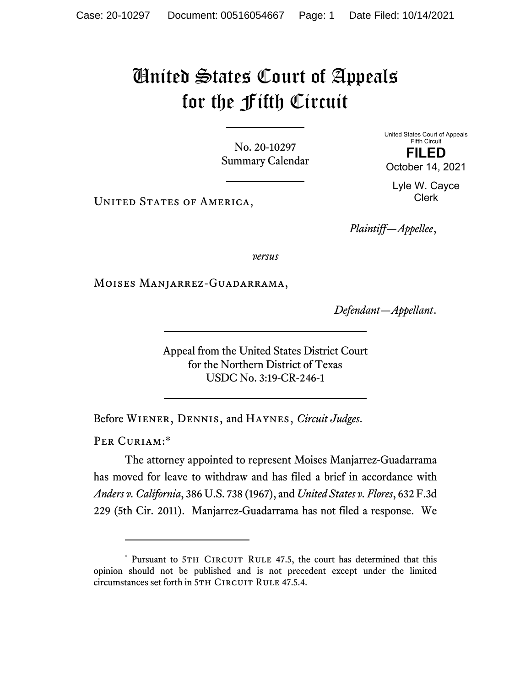## United States Court of Appeals for the Fifth Circuit

No. 20-10297 Summary Calendar United States Court of Appeals Fifth Circuit **FILED** 

October 14, 2021

Lyle W. Cayce Clerk

UNITED STATES OF AMERICA,

*Plaintiff—Appellee*,

*versus*

Moises Manjarrez-Guadarrama,

*Defendant—Appellant*.

Appeal from the United States District Court for the Northern District of Texas USDC No. 3:19-CR-246-1

Before Wiener, Dennis, and Haynes, *Circuit Judges*.

PER CURIAM:\*

The attorney appointed to represent Moises Manjarrez-Guadarrama has moved for leave to withdraw and has filed a brief in accordance with *Anders v. California*, 386 U.S. 738 (1967), and *United States v. Flores*, 632 F.3d 229 (5th Cir. 2011). Manjarrez-Guadarrama has not filed a response. We

<sup>\*</sup> Pursuant to 5TH CIRCUIT RULE 47.5, the court has determined that this opinion should not be published and is not precedent except under the limited circumstances set forth in 5TH CIRCUIT RULE 47.5.4.